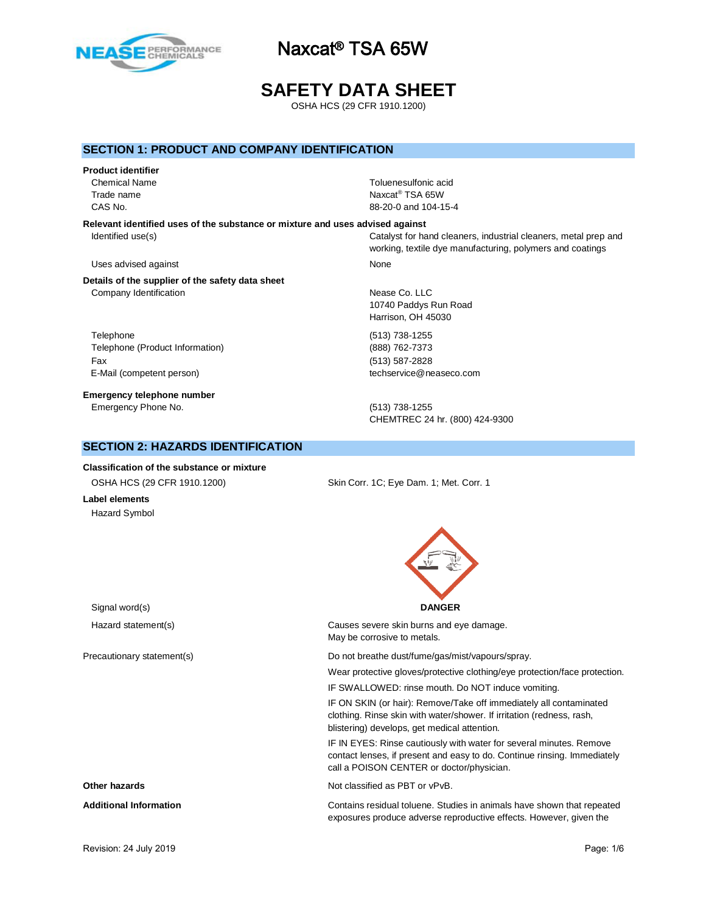

# **SAFETY DATA SHEET**

OSHA HCS (29 CFR 1910.1200)

### **SECTION 1: PRODUCT AND COMPANY IDENTIFICATION**

#### **Product identifier**

Chemical Name Toluenesulfonic acid Trade name

**Relevant identified uses of the substance or mixture and uses advised against**

### Uses advised against None

**Details of the supplier of the safety data sheet** Company Identification **Nease Co. LLC** 

Telephone (513) 738-1255 Telephone (Product Information) (888) 762-7373 Fax (513) 587-2828 E-Mail (competent person) techservice@neaseco.com

**Emergency telephone number** Emergency Phone No. (513) 738-1255

## **SECTION 2: HAZARDS IDENTIFICATION**

**Classification of the substance or mixture**

Naxcat<sup>®</sup> TSA 65W CAS No. 88-20-0 and 104-15-4

Identified use(s) Catalyst for hand cleaners, industrial cleaners, metal prep and working, textile dye manufacturing, polymers and coatings

10740 Paddys Run Road Harrison, OH 45030

CHEMTREC 24 hr. (800) 424-9300

OSHA HCS (29 CFR 1910.1200) Skin Corr. 1C; Eye Dam. 1; Met. Corr. 1

**Label elements** Hazard Symbol



| Hazard statement(s)           | Causes severe skin burns and eye damage.<br>May be corrosive to metals.                                                                                                                      |
|-------------------------------|----------------------------------------------------------------------------------------------------------------------------------------------------------------------------------------------|
| Precautionary statement(s)    | Do not breathe dust/fume/gas/mist/vapours/spray.<br>Wear protective gloves/protective clothing/eye protection/face protection.<br>IF SWALLOWED: rinse mouth. Do NOT induce vomiting.         |
|                               | IF ON SKIN (or hair): Remove/Take off immediately all contaminated<br>clothing. Rinse skin with water/shower. If irritation (redness, rash,<br>blistering) develops, get medical attention.  |
|                               | IF IN EYES: Rinse cautiously with water for several minutes. Remove<br>contact lenses, if present and easy to do. Continue rinsing. Immediately<br>call a POISON CENTER or doctor/physician. |
| Other hazards                 | Not classified as PBT or vPvB.                                                                                                                                                               |
| <b>Additional Information</b> | Contains residual toluene. Studies in animals have shown that repeated<br>exposures produce adverse reproductive effects. However, given the                                                 |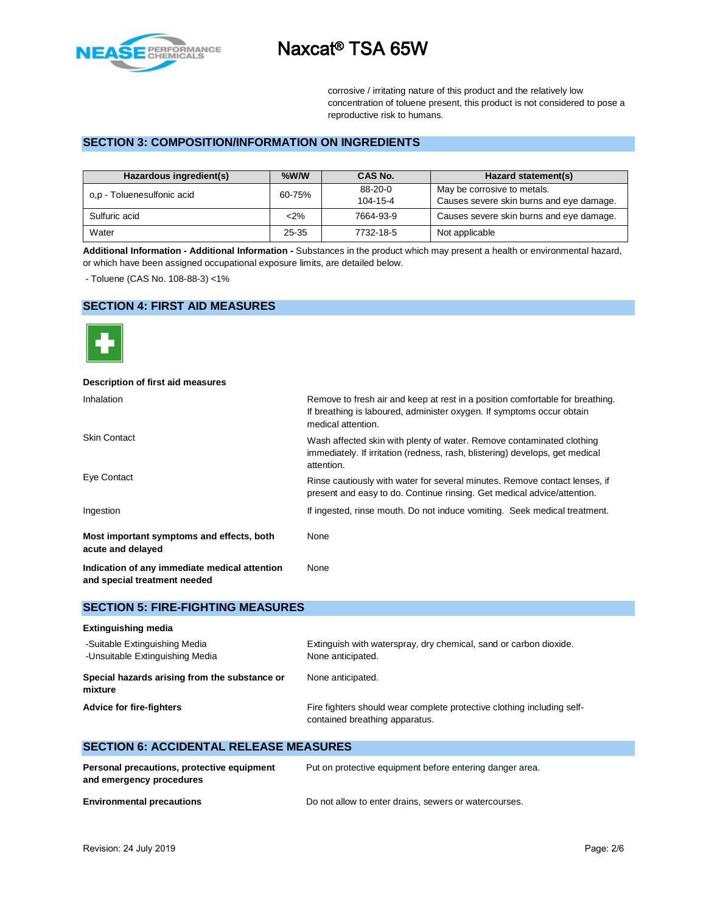

corrosive / irritating nature of this product and the relatively low concentration of toluene present, this product is not considered to pose a reproductive risk to humans.

### **SECTION 3: COMPOSITION/INFORMATION ON INGREDIENTS**

| Hazardous ingredient(s)    | $%$ W/W            | CAS No.   | Hazard statement(s)                      |  |
|----------------------------|--------------------|-----------|------------------------------------------|--|
| o,p - Toluenesulfonic acid | 60-75%             | 88-20-0   | May be corrosive to metals.              |  |
|                            |                    | 104-15-4  | Causes severe skin burns and eye damage. |  |
| Sulfuric acid              | $2\%$<br>7664-93-9 |           | Causes severe skin burns and eye damage. |  |
| Water                      | 25-35              | 7732-18-5 | Not applicable                           |  |

**Additional Information - Additional Information -** Substances in the product which may present a health or environmental hazard, or which have been assigned occupational exposure limits, are detailed below.

- Toluene (CAS No. 108-88-3) <1%

## **SECTION 4: FIRST AID MEASURES**



# **Description of first aid measures**

| Inhalation                                                                    | Remove to fresh air and keep at rest in a position comfortable for breathing.<br>If breathing is laboured, administer oxygen. If symptoms occur obtain<br>medical attention. |  |  |  |
|-------------------------------------------------------------------------------|------------------------------------------------------------------------------------------------------------------------------------------------------------------------------|--|--|--|
| <b>Skin Contact</b>                                                           | Wash affected skin with plenty of water. Remove contaminated clothing<br>immediately. If irritation (redness, rash, blistering) develops, get medical<br>attention.          |  |  |  |
| Eye Contact                                                                   | Rinse cautiously with water for several minutes. Remove contact lenses, if<br>present and easy to do. Continue rinsing. Get medical advice/attention.                        |  |  |  |
| Ingestion                                                                     | If ingested, rinse mouth. Do not induce vomiting. Seek medical treatment.                                                                                                    |  |  |  |
| Most important symptoms and effects, both<br>acute and delayed                | None                                                                                                                                                                         |  |  |  |
| Indication of any immediate medical attention<br>and special treatment needed | None                                                                                                                                                                         |  |  |  |

#### **SECTION 5: FIRE-FIGHTING MEASURES**

| <b>Extinguishing media</b>                                       |                                                                                                          |
|------------------------------------------------------------------|----------------------------------------------------------------------------------------------------------|
| -Suitable Extinguishing Media<br>-Unsuitable Extinguishing Media | Extinguish with waterspray, dry chemical, sand or carbon dioxide.<br>None anticipated.                   |
| Special hazards arising from the substance or<br>mixture         | None anticipated.                                                                                        |
| <b>Advice for fire-fighters</b>                                  | Fire fighters should wear complete protective clothing including self-<br>contained breathing apparatus. |

## **SECTION 6: ACCIDENTAL RELEASE MEASURES**

| Personal precautions, protective equipment | Put on protective equipment before entering danger area. |
|--------------------------------------------|----------------------------------------------------------|
| and emergency procedures                   |                                                          |
| <b>Environmental precautions</b>           | Do not allow to enter drains, sewers or watercourses.    |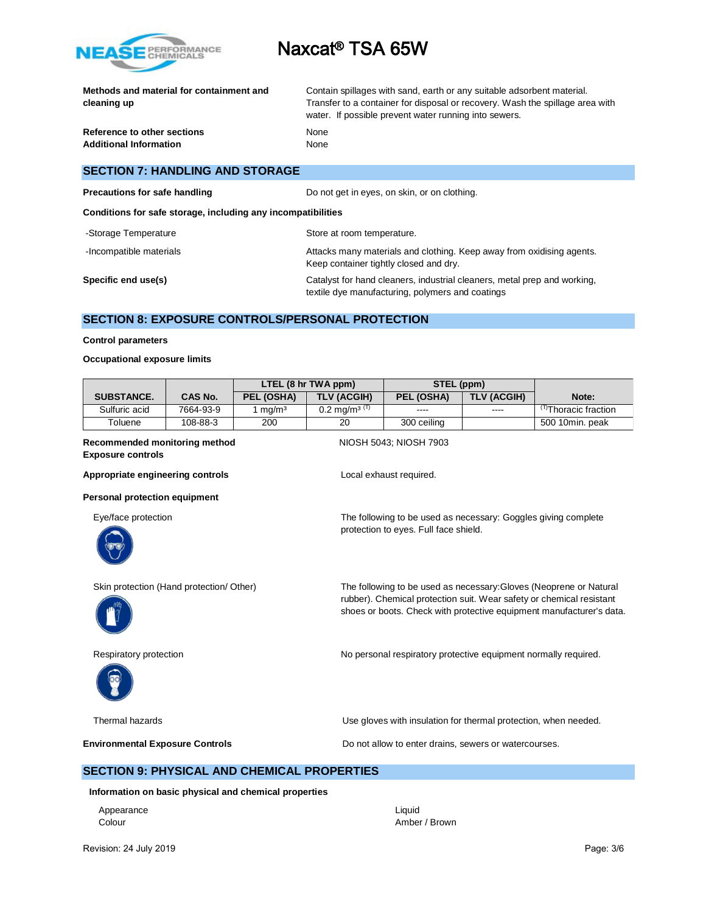

|             | Methods and material for containment and |  |
|-------------|------------------------------------------|--|
| cleaning up |                                          |  |

Contain spillages with sand, earth or any suitable adsorbent material. Transfer to a container for disposal or recovery. Wash the spillage area with water. If possible prevent water running into sewers.

**Reference to other sections None Additional Information** None

# **SECTION 7: HANDLING AND STORAGE**

| Precautions for safe handling | Do not get in eyes, on skin, or on clothing. |
|-------------------------------|----------------------------------------------|
|                               |                                              |

**Conditions for safe storage, including any incompatibilities**

| -Storage Temperature    | Store at room temperature.                                                                                                   |
|-------------------------|------------------------------------------------------------------------------------------------------------------------------|
| -Incompatible materials | Attacks many materials and clothing. Keep away from oxidising agents.<br>Keep container tightly closed and dry.              |
| Specific end use(s)     | Catalyst for hand cleaners, industrial cleaners, metal prep and working,<br>textile dye manufacturing, polymers and coatings |

## **SECTION 8: EXPOSURE CONTROLS/PERSONAL PROTECTION**

#### **Control parameters**

#### **Occupational exposure limits**

|                   |                | LTEL (8 hr TWA ppm) |                            | STEL (ppm)  |             |                                 |
|-------------------|----------------|---------------------|----------------------------|-------------|-------------|---------------------------------|
| <b>SUBSTANCE.</b> | <b>CAS No.</b> | PEL (OSHA)          | <b>TLV (ACGIH)</b>         | PEL (OSHA)  | TLV (ACGIH) | Note:                           |
| Sulfuric acid     | 7664-93-9      | ma/m <sup>3</sup>   | $0.2 \text{ ma/m}^{3}$ (T) | ----        | $\cdots$    | <sup>T)</sup> Thoracic fraction |
| Toluene           | 108-88-3       | 200                 | 20                         | 300 ceiling |             | 500 10min. peak                 |

#### **Recommended monitoring method NIOSH 5043; NIOSH 7903 Exposure controls**

Appropriate engineering controls **Appropriate engineering controls Local exhaust required.** 

#### **Personal protection equipment**

Eye/face protection The following to be used as necessary: Goggles giving complete



protection to eyes. Full face shield.





Skin protection (Hand protection/ Other) The following to be used as necessary:Gloves (Neoprene or Natural rubber). Chemical protection suit. Wear safety or chemical resistant shoes or boots. Check with protective equipment manufacturer's data.

Respiratory protection **No personal respiratory protective equipment normally required.** 

Thermal hazards Use gloves with insulation for thermal protection, when needed.

**Environmental Exposure Controls Exposure Controls Do not allow to enter drains, sewers or watercourses.** 

### **SECTION 9: PHYSICAL AND CHEMICAL PROPERTIES**

**Information on basic physical and chemical properties**

Appearance Liquid

Colour Amber / Brown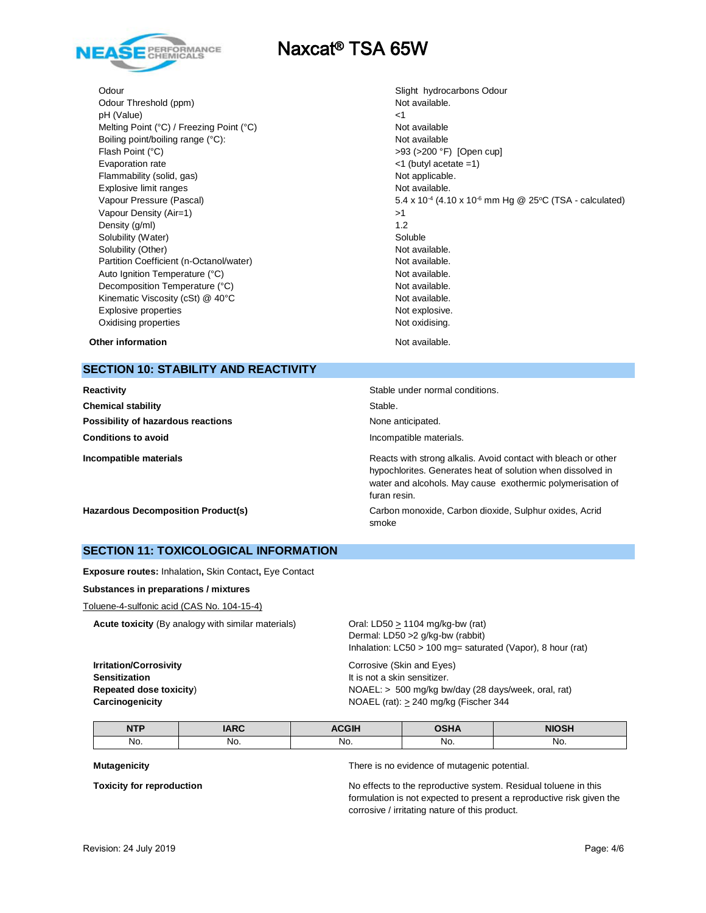

Odour Threshold (ppm) Not available. pH (Value)  $\leq$  1 Melting Point (°C) / Freezing Point (°C) Not available Boiling point/boiling range (°C): Not available Flash Point (°C)  $>93$  (>200 °F) [Open cup] Evaporation rate <1 (butyl acetate =1) Flammability (solid, gas) Not applicable. Explosive limit ranges Not available. Vapour Pressure (Pascal) Vapour Density (Air=1)  $>1$ Density  $(g/m)$  1.2 Solubility (Water) Soluble Solubility (Other) Not available. Partition Coefficient (n-Octanol/water) Not available. Auto Ignition Temperature (°C) and the control of the Not available. Decomposition Temperature (°C) Mot available. Kinematic Viscosity (cSt) @ 40°C Not available. Explosive properties Not explosive. Oxidising properties Not oxidising.

Odour **Slight hydrocarbons Odour** Slight hydrocarbons Odour 5.4 x 10<sup>-4</sup> (4.10 x 10<sup>-6</sup> mm Hg @ 25°C (TSA - calculated)

**Other information** and the state of the state of the state of the Not available.

### **SECTION 10: STABILITY AND REACTIVITY**

| Reactivity                                | Stable under normal conditions.                                                                                                                                                                             |
|-------------------------------------------|-------------------------------------------------------------------------------------------------------------------------------------------------------------------------------------------------------------|
| <b>Chemical stability</b>                 | Stable.                                                                                                                                                                                                     |
| Possibility of hazardous reactions        | None anticipated.                                                                                                                                                                                           |
| <b>Conditions to avoid</b>                | Incompatible materials.                                                                                                                                                                                     |
| Incompatible materials                    | Reacts with strong alkalis. Avoid contact with bleach or other<br>hypochlorites. Generates heat of solution when dissolved in<br>water and alcohols. May cause exothermic polymerisation of<br>furan resin. |
| <b>Hazardous Decomposition Product(s)</b> | Carbon monoxide, Carbon dioxide, Sulphur oxides, Acrid<br>smoke                                                                                                                                             |

### **SECTION 11: TOXICOLOGICAL INFORMATION**

**Exposure routes:** Inhalation**,** Skin Contact**,** Eye Contact

#### **Substances in preparations / mixtures**

Toluene-4-sulfonic acid (CAS No. 104-15-4)

**Acute toxicity** (By analogy with similar materials) Oral: LD50 > 1104 mg/kg-bw (rat)

Dermal: LD50 >2 g/kg-bw (rabbit) Inhalation: LC50 > 100 mg= saturated (Vapor), 8 hour (rat)

**Irritation/Corrosivity Irritation/Corrosivity Corrosive** (Skin and Eyes) **Sensitization It is not a skin sensitizer.** 

**Repeated dose toxicity**) **NOAEL:** > 500 mg/kg bw/day (28 days/week, oral, rat) **Carcinogenicity Carcinogenicity NOAEL** (rat):  $\geq$  240 mg/kg (Fischer 344

| <b>NITD</b><br>. | $AD^{\sim}$ | $\sim$ $\sim$ $\sim$ $\sim$ | $- - - -$ | .   |
|------------------|-------------|-----------------------------|-----------|-----|
| No.              | No.         | No.                         | No.       | No. |

**Mutagenicity** There is no evidence of mutagenic potential.

**Toxicity for reproduction** No effects to the reproductive system. Residual toluene in this formulation is not expected to present a reproductive risk given the corrosive / irritating nature of this product.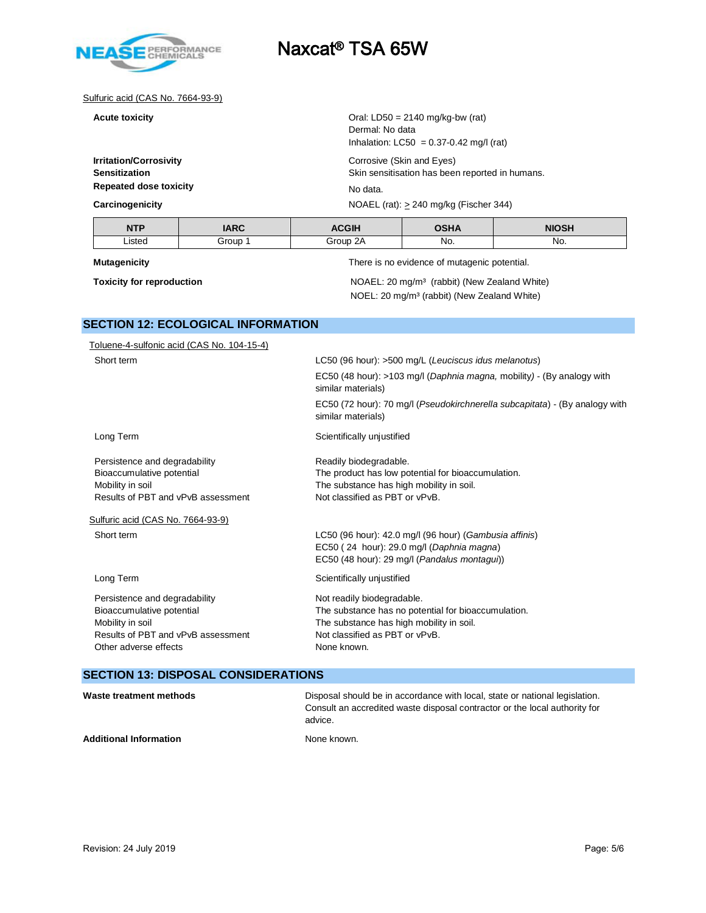

#### Sulfuric acid (CAS No. 7664-93-9)

**Repeated dose toxicity** No data.

**Acute toxicity Called Acute toxicity Acute toxicity Oral: LD50 = 2140 mg/kg-bw (rat)** Dermal: No data Inhalation:  $LC50 = 0.37 - 0.42$  mg/l (rat)

**Irritation/Corrosivity** Corrosive (Skin and Eyes) **Sensitization** Skin sensitisation has been reported in humans.

**Carcinogenicity Carcinogenicity Carcinogenicity NOAEL** (rat):  $\geq$  240 mg/kg (Fischer 344)

| <b>NTP</b> | <b>IARC</b><br>$\cdots$ | $\sim$ $\sim$ $\sim$ $\sim$ $\sim$ | OCHA<br>----- |     |
|------------|-------------------------|------------------------------------|---------------|-----|
| Listed     | Group                   | ົ<br>≟r∩⊥ın<br>u.<br>-             | No.           | No. |

**Mutagenicity** There is no evidence of mutagenic potential.

**Toxicity for reproduction NOAEL:** 20 mg/m<sup>3</sup> (rabbit) (New Zealand White) NOEL: 20 mg/m³ (rabbit) (New Zealand White)

# **SECTION 12: ECOLOGICAL INFORMATION**

| Toluene-4-sulfonic acid (CAS No. 104-15-4) |                                                                                                   |  |  |
|--------------------------------------------|---------------------------------------------------------------------------------------------------|--|--|
| Short term                                 | LC50 (96 hour): >500 mg/L (Leuciscus idus melanotus)                                              |  |  |
|                                            | EC50 (48 hour): >103 mg/l (Daphnia magna, mobility) - (By analogy with<br>similar materials)      |  |  |
|                                            | EC50 (72 hour): 70 mg/l (Pseudokirchnerella subcapitata) - (By analogy with<br>similar materials) |  |  |
| Long Term                                  | Scientifically unjustified                                                                        |  |  |
| Persistence and degradability              | Readily biodegradable.                                                                            |  |  |
| Bioaccumulative potential                  | The product has low potential for bioaccumulation.                                                |  |  |
| Mobility in soil                           | The substance has high mobility in soil.                                                          |  |  |
| Results of PBT and vPvB assessment         | Not classified as PBT or vPvB.                                                                    |  |  |
| Sulfuric acid (CAS No. 7664-93-9)          |                                                                                                   |  |  |
| Short term                                 | LC50 (96 hour): 42.0 mg/l (96 hour) (Gambusia affinis)                                            |  |  |
|                                            | EC50 (24 hour): 29.0 mg/l (Daphnia magna)                                                         |  |  |
|                                            | EC50 (48 hour): 29 mg/l (Pandalus montagui))                                                      |  |  |
| Long Term                                  | Scientifically unjustified                                                                        |  |  |
| Persistence and degradability              | Not readily biodegradable.                                                                        |  |  |
| Bioaccumulative potential                  | The substance has no potential for bioaccumulation.                                               |  |  |
| Mobility in soil                           | The substance has high mobility in soil.                                                          |  |  |
| Results of PBT and vPvB assessment         | Not classified as PBT or vPvB.                                                                    |  |  |
| Other adverse effects                      | None known.                                                                                       |  |  |
|                                            |                                                                                                   |  |  |

# **SECTION 13: DISPOSAL CONSIDERATIONS**

| Waste treatment methods       | Disposal should be in accordance with local, state or national legislation.<br>Consult an accredited waste disposal contractor or the local authority for<br>advice. |
|-------------------------------|----------------------------------------------------------------------------------------------------------------------------------------------------------------------|
| <b>Additional Information</b> | None known.                                                                                                                                                          |